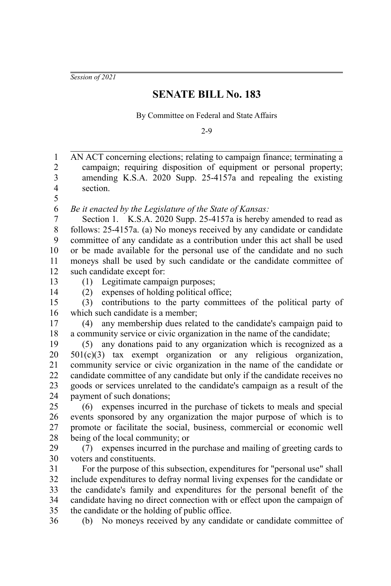*Session of 2021*

## **SENATE BILL No. 183**

By Committee on Federal and State Affairs

2-9

AN ACT concerning elections; relating to campaign finance; terminating a campaign; requiring disposition of equipment or personal property; amending K.S.A. 2020 Supp. 25-4157a and repealing the existing section. 1 2 3 4 5

*Be it enacted by the Legislature of the State of Kansas:* 6

Section 1. K.S.A. 2020 Supp. 25-4157a is hereby amended to read as follows: 25-4157a. (a) No moneys received by any candidate or candidate committee of any candidate as a contribution under this act shall be used or be made available for the personal use of the candidate and no such moneys shall be used by such candidate or the candidate committee of such candidate except for: 7 8 9 10 11 12

13

36

14

(1) Legitimate campaign purposes; (2) expenses of holding political office;

(3) contributions to the party committees of the political party of which such candidate is a member; 15 16

(4) any membership dues related to the candidate's campaign paid to a community service or civic organization in the name of the candidate; 17 18

(5) any donations paid to any organization which is recognized as a 501(c)(3) tax exempt organization or any religious organization, community service or civic organization in the name of the candidate or candidate committee of any candidate but only if the candidate receives no goods or services unrelated to the candidate's campaign as a result of the payment of such donations; 19 20 21 22 23 24

(6) expenses incurred in the purchase of tickets to meals and special events sponsored by any organization the major purpose of which is to promote or facilitate the social, business, commercial or economic well being of the local community; or 25 26 27 28

(7) expenses incurred in the purchase and mailing of greeting cards to voters and constituents.  $29$ 30

For the purpose of this subsection, expenditures for "personal use" shall include expenditures to defray normal living expenses for the candidate or the candidate's family and expenditures for the personal benefit of the candidate having no direct connection with or effect upon the campaign of the candidate or the holding of public office. 31 32 33 34 35

(b) No moneys received by any candidate or candidate committee of